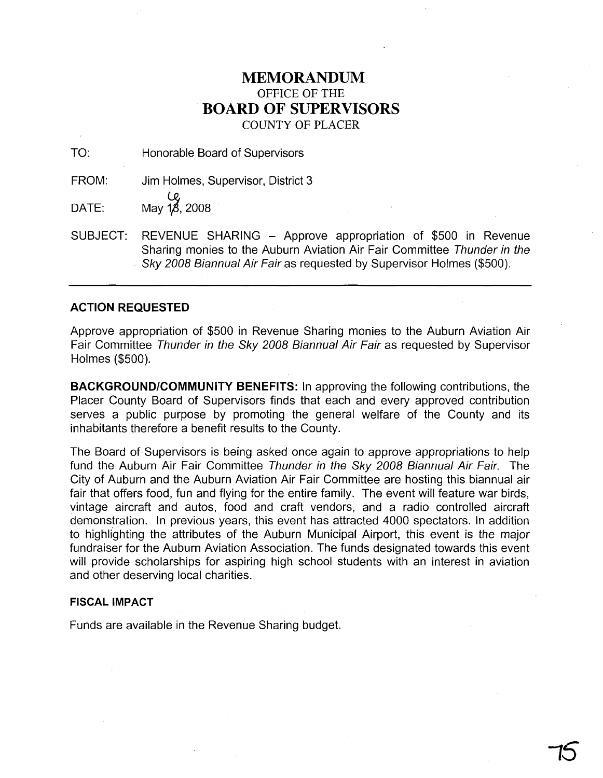## **MEMORANDUM** OFFICE OF THE **BOARD OF SUPERVISORS** COUNTY OF PLACER

TO: Honorable Board of Supervisors

FROM: Jim Holmes, Supervisor, District 3

 $\begin{array}{cc}\n\mathbf{C}\n\mathbf{DATE:} & \mathbf{May 1\%}, 2008\n\end{array}$ 

SUBJECT: REVENUE SHARING - Approve appropriation of \$500 in Revenue Sharing monies to the Auburn Aviation Air Fair Committee Thunder in the Sky 2008 Biannual Air Fair as requested by Supervisor Holmes (\$500).

## **ACTION REQUESTED**

Approve appropriation of \$500 in Revenue Sharing monies to the Auburn Aviation Air Fair Committee Thunder in the Sky 2008 Biannual Air Fair as requested by Supervisor Holmes (\$500).

**BACKGROUND/COMMUNITY BENEFITS:** In approving the following contributions, the Placer County Board of Supervisors finds that each and every approved contribution serves a public purpose by promoting the general welfare of the County and its inhabitants therefore a benefit results to the County.

The Board of Supervisors is being asked once again to approve appropriations to help fund the Auburn Air Fair Committee Thunder in the Sky 2008 Biannual Air Fair. The City of Auburn and the Auburn Aviation Air Fair Committee are hosting this biannual air fair that offers food, fun and flying for the entire family. The event will feature war birds, vintage aircraft and autos, food and craft vendors, and a radio controlled aircraft demonstration. In previous years, this event has attracted 4000 spectators. In addition to highlighting the attributes of the Auburn Municipal Airport, this event is the major fundraiser for the Auburn Aviation Association. The funds designated towards this event will provide scholarships for aspiring high school students with an interest in aviation and other deserving local charities.

**,5**

## **FISCAL IMPACT**

Funds are available in the Revenue Sharing budget.